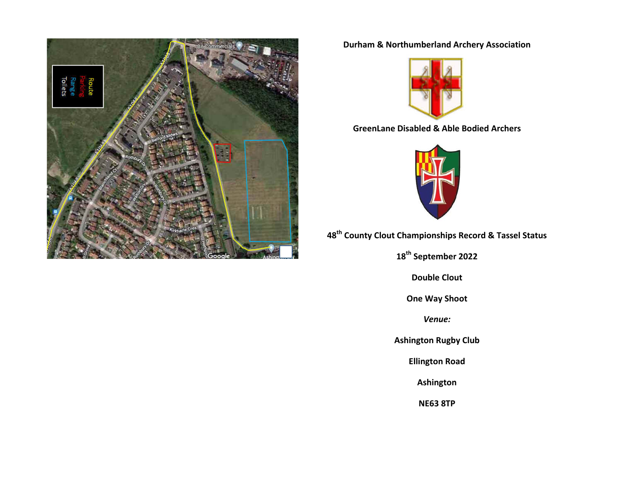

## **Durham & Northumberland Archery Association**



## **GreenLane Disabled & Able Bodied Archers**



**48th County Clout Championships Record & Tassel Status** 

**18th September 2022**

**Double Clout** 

**One Way Shoot**

*Venue:*

**Ashington Rugby Club**

**Ellington Road**

**Ashington**

**NE63 8TP**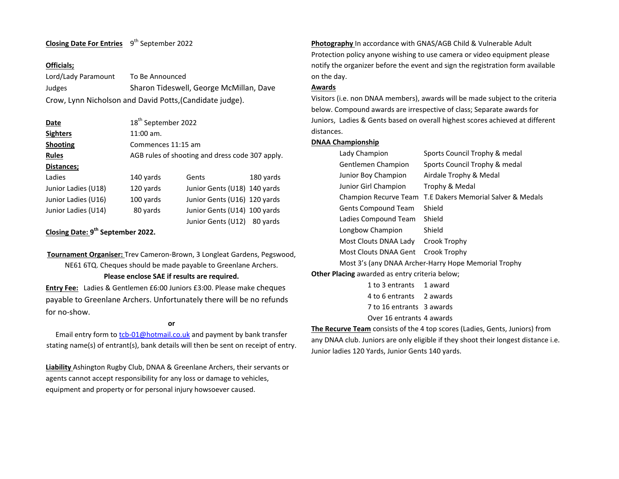### **Closing Date For Entries** 9<sup>th</sup> September 2022

#### **Officials;**

Lord/Lady Paramount To Be Announced Judges Sharon Tideswell, George McMillan, Dave Crow, Lynn Nicholson and David Potts,(Candidate judge).

| Date                | 18 <sup>th</sup> September 2022                 |                              |           |
|---------------------|-------------------------------------------------|------------------------------|-----------|
| <b>Sighters</b>     | $11:00$ am.                                     |                              |           |
| <b>Shooting</b>     | Commences 11:15 am                              |                              |           |
| <b>Rules</b>        | AGB rules of shooting and dress code 307 apply. |                              |           |
| Distances;          |                                                 |                              |           |
| Ladies              | 140 yards                                       | Gents                        | 180 yards |
| Junior Ladies (U18) | 120 yards                                       | Junior Gents (U18) 140 yards |           |
| Junior Ladies (U16) | 100 yards                                       | Junior Gents (U16) 120 yards |           |
| Junior Ladies (U14) | 80 yards                                        | Junior Gents (U14) 100 yards |           |
|                     |                                                 | Junior Gents (U12)           | 80 vards  |

### **Closing Date: 9th September 2022.**

**Tournament Organiser:** Trev Cameron-Brown, 3 Longleat Gardens, Pegswood, NE61 6TQ. Cheques should be made payable to Greenlane Archers. **Please enclose SAE if results are required.**

**Entry Fee:**Ladies & Gentlemen £6:00 Juniors £3:00. Please make cheques payable to Greenlane Archers. Unfortunately there will be no refunds for no-show.

#### **or**

Email entry form t[o tcb-01@hotmail.co.uk](mailto:tcb-01@hotmail.co.uk) and payment by bank transfer stating name(s) of entrant(s), bank details will then be sent on receipt of entry.

**Liability** Ashington Rugby Club, DNAA & Greenlane Archers, their servants or agents cannot accept responsibility for any loss or damage to vehicles, equipment and property or for personal injury howsoever caused.

**Photography** In accordance with GNAS/AGB Child & Vulnerable Adult Protection policy anyone wishing to use camera or video equipment please notify the organizer before the event and sign the registration form available on the day.

#### **Awards**

Visitors (i.e. non DNAA members), awards will be made subject to the criteria below. Compound awards are irrespective of class; Separate awards for Juniors, Ladies & Gents based on overall highest scores achieved at different distances.

#### **DNAA Championship**

| Lady Champion                                         | Sports Council Trophy & medal                        |  |
|-------------------------------------------------------|------------------------------------------------------|--|
| Gentlemen Champion                                    | Sports Council Trophy & medal                        |  |
| Junior Boy Champion                                   | Airdale Trophy & Medal                               |  |
| Junior Girl Champion                                  | Trophy & Medal                                       |  |
| Champion Recurve Team                                 | T.E Dakers Memorial Salver & Medals                  |  |
| <b>Gents Compound Team</b>                            | Shield                                               |  |
| Ladies Compound Team                                  | Shield                                               |  |
| Longbow Champion                                      | Shield                                               |  |
| Most Clouts DNAA Lady                                 | Crook Trophy                                         |  |
| Most Clouts DNAA Gent                                 | Crook Trophy                                         |  |
|                                                       | Most 3's (any DNAA Archer-Harry Hope Memorial Trophy |  |
| <b>Other Placing</b> awarded as entry criteria below; |                                                      |  |

1 to 3 entrants 1 award 4 to 6 entrants 2 awards 7 to 16 entrants 3 awards Over 16 entrants 4 awards

**The Recurve Team** consists of the 4 top scores (Ladies, Gents, Juniors) from any DNAA club. Juniors are only eligible if they shoot their longest distance i.e. Junior ladies 120 Yards, Junior Gents 140 yards.